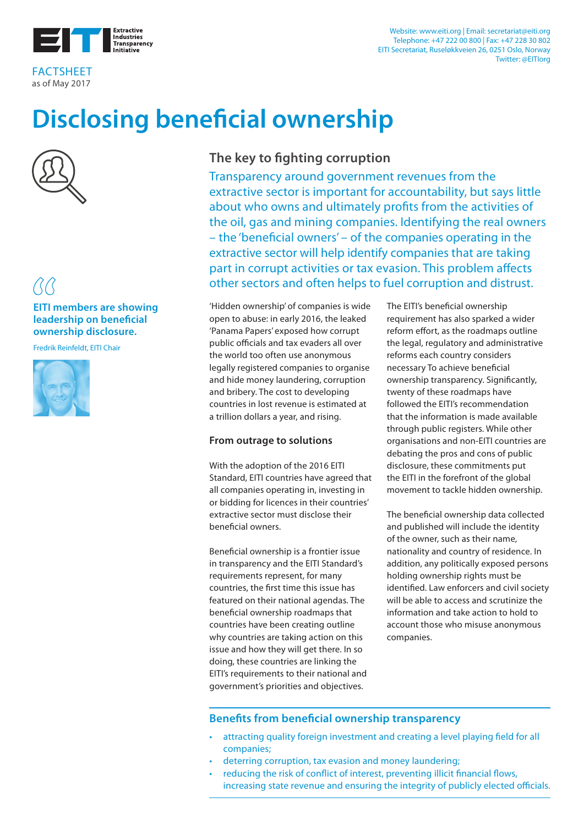

FACTSHEET as of May 2017

#### Website: www.eiti.org | Email: secretariat@eiti.org Telephone: +47 222 00 800 | Fax: +47 228 30 802 EITI Secretariat, Ruseløkkveien 26, 0251 Oslo, Norway Twitter: @EITIorg

# **Disclosing beneficial ownership**



### **EITI members are showing leadership on beneficial ownership disclosure.**

Fredrik Reinfeldt, EITI Chair



# **The key to fighting corruption**

Transparency around government revenues from the extractive sector is important for accountability, but says little about who owns and ultimately profits from the activities of the oil, gas and mining companies. Identifying the real owners – the 'beneficial owners' – of the companies operating in the extractive sector will help identify companies that are taking part in corrupt activities or tax evasion. This problem affects other sectors and often helps to fuel corruption and distrust.

'Hidden ownership' of companies is wide open to abuse: in early 2016, the leaked 'Panama Papers' exposed how corrupt public officials and tax evaders all over the world too often use anonymous legally registered companies to organise and hide money laundering, corruption and bribery. The cost to developing countries in lost revenue is estimated at a trillion dollars a year, and rising.

### **From outrage to solutions**

With the adoption of the 2016 EITI Standard, EITI countries have agreed that all companies operating in, investing in or bidding for licences in their countries' extractive sector must disclose their beneficial owners.

Beneficial ownership is a frontier issue in transparency and the EITI Standard's requirements represent, for many countries, the first time this issue has featured on their national agendas. The beneficial ownership roadmaps that countries have been creating outline why countries are taking action on this issue and how they will get there. In so doing, these countries are linking the EITI's requirements to their national and government's priorities and objectives.

The EITI's beneficial ownership requirement has also sparked a wider reform effort, as the roadmaps outline the legal, regulatory and administrative reforms each country considers necessary To achieve beneficial ownership transparency. Significantly, twenty of these roadmaps have followed the EITI's recommendation that the information is made available through public registers. While other organisations and non-EITI countries are debating the pros and cons of public disclosure, these commitments put the EITI in the forefront of the global movement to tackle hidden ownership.

The beneficial ownership data collected and published will include the identity of the owner, such as their name, nationality and country of residence. In addition, any politically exposed persons holding ownership rights must be identified. Law enforcers and civil society will be able to access and scrutinize the information and take action to hold to account those who misuse anonymous companies.

### **Benefits from beneficial ownership transparency**

- attracting quality foreign investment and creating a level playing field for all companies;
- deterring corruption, tax evasion and money laundering;
- reducing the risk of conflict of interest, preventing illicit financial flows, increasing state revenue and ensuring the integrity of publicly elected officials.

Disclosing Beneficial Ownership 1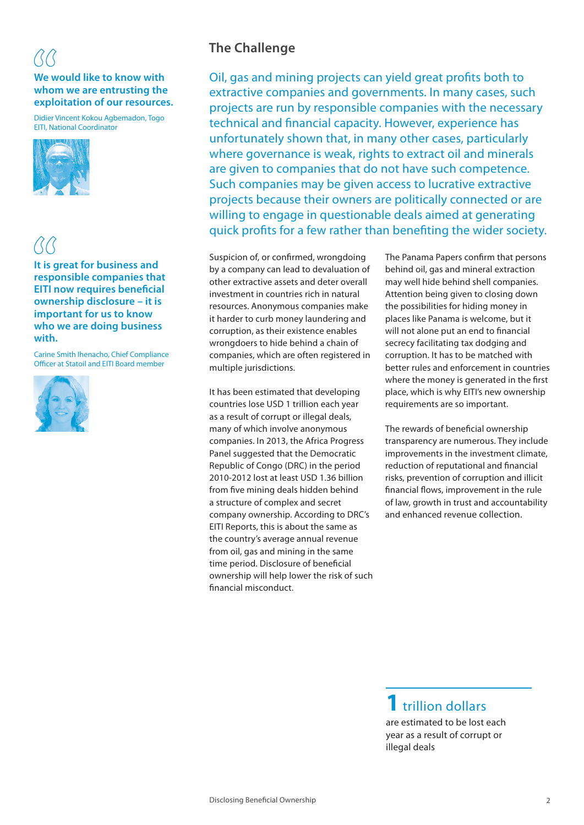# **We would like to know with whom we are entrusting the exploitation of our resources.**

Didier Vincent Kokou Agbemadon, Togo EITI, National Coordinator



**It is great for business and responsible companies that EITI now requires beneficial ownership disclosure – it is important for us to know who we are doing business with.**

Carine Smith Ihenacho, Chief Compliance Officer at Statoil and EITI Board member



# **The Challenge**

Oil, gas and mining projects can yield great profits both to extractive companies and governments. In many cases, such projects are run by responsible companies with the necessary technical and financial capacity. However, experience has unfortunately shown that, in many other cases, particularly where governance is weak, rights to extract oil and minerals are given to companies that do not have such competence. Such companies may be given access to lucrative extractive projects because their owners are politically connected or are willing to engage in questionable deals aimed at generating quick profits for a few rather than benefiting the wider society.

Suspicion of, or confirmed, wrongdoing by a company can lead to devaluation of other extractive assets and deter overall investment in countries rich in natural resources. Anonymous companies make it harder to curb money laundering and corruption, as their existence enables wrongdoers to hide behind a chain of companies, which are often registered in multiple jurisdictions.

It has been estimated that developing countries lose USD 1 trillion each year as a result of corrupt or illegal deals, many of which involve anonymous companies. In 2013, the Africa Progress Panel suggested that the Democratic Republic of Congo (DRC) in the period 2010-2012 lost at least USD 1.36 billion from five mining deals hidden behind a structure of complex and secret company ownership. According to DRC's EITI Reports, this is about the same as the country's average annual revenue from oil, gas and mining in the same time period. Disclosure of beneficial ownership will help lower the risk of such financial misconduct.

The Panama Papers confirm that persons behind oil, gas and mineral extraction may well hide behind shell companies. Attention being given to closing down the possibilities for hiding money in places like Panama is welcome, but it will not alone put an end to financial secrecy facilitating tax dodging and corruption. It has to be matched with better rules and enforcement in countries where the money is generated in the first place, which is why EITI's new ownership requirements are so important.

The rewards of beneficial ownership transparency are numerous. They include improvements in the investment climate, reduction of reputational and financial risks, prevention of corruption and illicit financial flows, improvement in the rule of law, growth in trust and accountability and enhanced revenue collection.

**1** trillion dollars are estimated to be lost each year as a result of corrupt or

illegal deals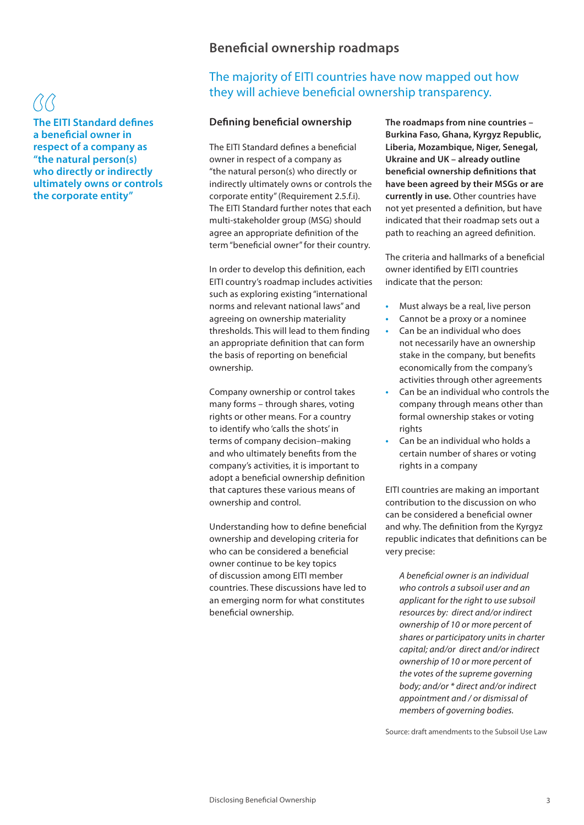**The EITI Standard defines a beneficial owner in respect of a company as "the natural person(s) who directly or indirectly ultimately owns or controls the corporate entity"**

## **Beneficial ownership roadmaps**

## The majority of EITI countries have now mapped out how they will achieve beneficial ownership transparency.

#### **Defining beneficial ownership**

The EITI Standard defines a beneficial owner in respect of a company as "the natural person(s) who directly or indirectly ultimately owns or controls the corporate entity" (Requirement 2.5.f.i). The EITI Standard further notes that each multi-stakeholder group (MSG) should agree an appropriate definition of the term "beneficial owner" for their country.

In order to develop this definition, each EITI country's roadmap includes activities such as exploring existing "international norms and relevant national laws" and agreeing on ownership materiality thresholds. This will lead to them finding an appropriate definition that can form the basis of reporting on beneficial ownership.

Company ownership or control takes many forms – through shares, voting rights or other means. For a country to identify who 'calls the shots' in terms of company decision–making and who ultimately benefits from the company's activities, it is important to adopt a beneficial ownership definition that captures these various means of ownership and control.

Understanding how to define beneficial ownership and developing criteria for who can be considered a beneficial owner continue to be key topics of discussion among EITI member countries. These discussions have led to an emerging norm for what constitutes beneficial ownership.

**The roadmaps from nine countries – Burkina Faso, Ghana, Kyrgyz Republic, Liberia, Mozambique, Niger, Senegal, Ukraine and UK – already outline beneficial ownership definitions that have been agreed by their MSGs or are currently in use.** Other countries have not yet presented a definition, but have indicated that their roadmap sets out a path to reaching an agreed definition.

The criteria and hallmarks of a beneficial owner identified by EITI countries indicate that the person:

- **Must always be a real, live person**
- Cannot be a proxy or a nominee
- Can be an individual who does not necessarily have an ownership stake in the company, but benefits economically from the company's activities through other agreements
- **•**  Can be an individual who controls the company through means other than formal ownership stakes or voting rights
- Can be an individual who holds a certain number of shares or voting rights in a company

EITI countries are making an important contribution to the discussion on who can be considered a beneficial owner and why. The definition from the Kyrgyz republic indicates that definitions can be very precise:

*A beneficial owner is an individual who controls a subsoil user and an applicant for the right to use subsoil resources by: direct and/or indirect ownership of 10 or more percent of shares or participatory units in charter capital; and/or direct and/or indirect ownership of 10 or more percent of the votes of the supreme governing body; and/or \* direct and/or indirect appointment and / or dismissal of members of governing bodies.* 

Source: draft amendments to the Subsoil Use Law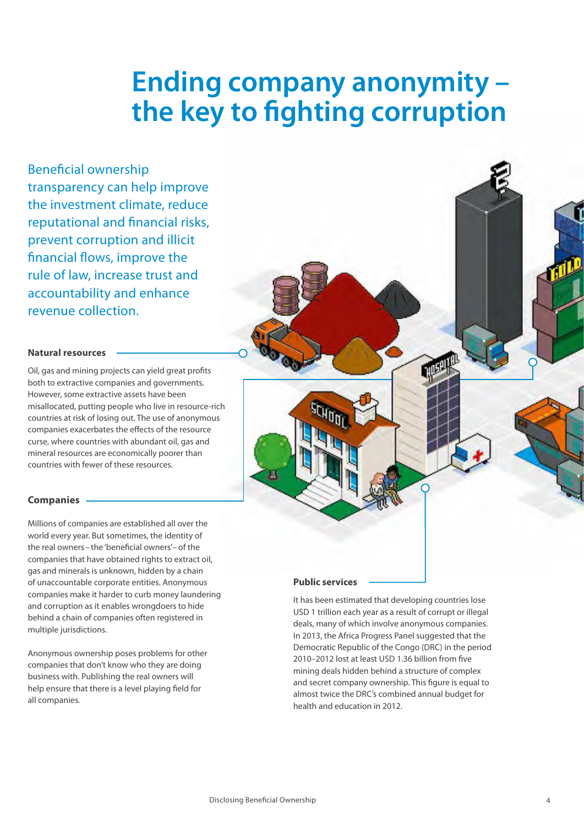# **Ending company anonymity – the key to fighting corruption**

Beneficial ownership transparency can help improve the investment climate, reduce reputational and financial risks, prevent corruption and illicit financial flows, improve the rule of law, increase trust and accountability and enhance revenue collection.

#### **Natural resources**

Oil, gas and mining projects can yield great profits both to extractive companies and governments. However, some extractive assets have been misallocated, putting people who live in resource-rich countries at risk of losing out. The use of anonymous companies exacerbates the effects of the resource curse, where countries with abundant oil, gas and mineral resources are economically poorer than countries with fewer of these resources.

#### **Companies**

Millions of companies are established all over the world every year. But sometimes, the identity of the real owners– the 'beneficial owners'–of the companies that have obtained rights to extract oil, gas and minerals is unknown, hidden by a chain of unaccountable corporate entities. Anonymous companies make it harder to curb money laundering and corruption as it enables wrongdoers to hide behind a chain of companies often registered in multiple jurisdictions.

Anonymous ownership poses problems for other companies that don't know who they are doing business with. Publishing the real owners will help ensure that there is a level playing field for all companies.

#### **Public services**

It has been estimated that developing countries lose USD 1 trillion each year as a result of corrupt or illegal deals, many of which involve anonymous companies. In 2013, the Africa Progress Panel suggested that the Democratic Republic of the Congo (DRC) in the period 2010–2012 lost at least USD 1.36 billion from five mining deals hidden behind a structure of complex and secret company ownership. This figure is equal to almost twice the DRC's combined annual budget for health and education in 2012.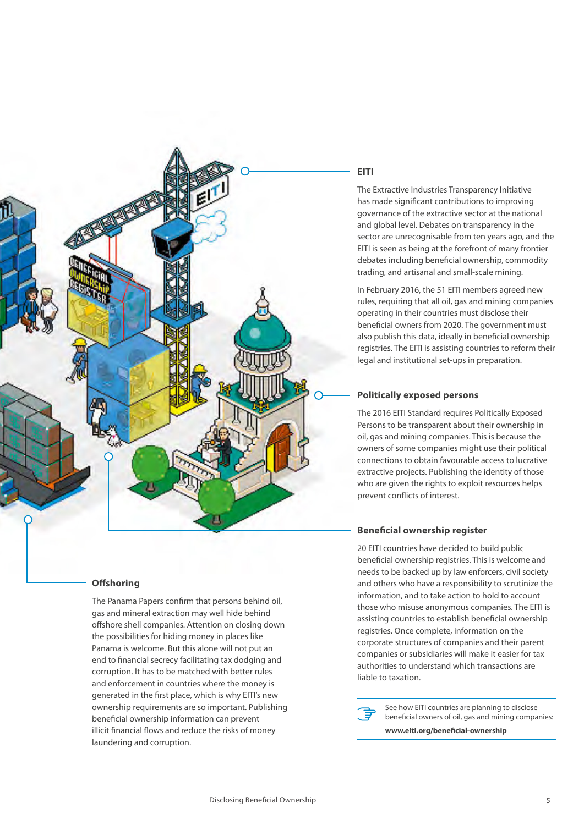

#### **Offshoring**

The Panama Papers confirm that persons behind oil, gas and mineral extraction may well hide behind offshore shell companies. Attention on closing down the possibilities for hiding money in places like Panama is welcome. But this alone will not put an end to financial secrecy facilitating tax dodging and corruption. It has to be matched with better rules and enforcement in countries where the money is generated in the first place, which is why EITI's new ownership requirements are so important. Publishing beneficial ownership information can prevent illicit financial flows and reduce the risks of money laundering and corruption.

#### **EITI**

The Extractive Industries Transparency Initiative has made significant contributions to improving governance of the extractive sector at the national and global level. Debates on transparency in the sector are unrecognisable from ten years ago, and the EITI is seen as being at the forefront of many frontier debates including beneficial ownership, commodity trading, and artisanal and small-scale mining.

In February 2016, the 51 EITI members agreed new rules, requiring that all oil, gas and mining companies operating in their countries must disclose their beneficial owners from 2020. The government must also publish this data, ideally in beneficial ownership registries. The EITI is assisting countries to reform their legal and institutional set-ups in preparation.

#### **Politically exposed persons**

The 2016 EITI Standard requires Politically Exposed Persons to be transparent about their ownership in oil, gas and mining companies. This is because the owners of some companies might use their political connections to obtain favourable access to lucrative extractive projects. Publishing the identity of those who are given the rights to exploit resources helps prevent conflicts of interest.

#### **Beneficial ownership register**

20 EITI countries have decided to build public beneficial ownership registries. This is welcome and needs to be backed up by law enforcers, civil society and others who have a responsibility to scrutinize the information, and to take action to hold to account those who misuse anonymous companies. The EITI is assisting countries to establish beneficial ownership registries. Once complete, information on the corporate structures of companies and their parent companies or subsidiaries will make it easier for tax authorities to understand which transactions are liable to taxation.

See how EITI countries are planning to disclose beneficial owners of oil, gas and mining companies:

**www.eiti.org/beneficial-ownership**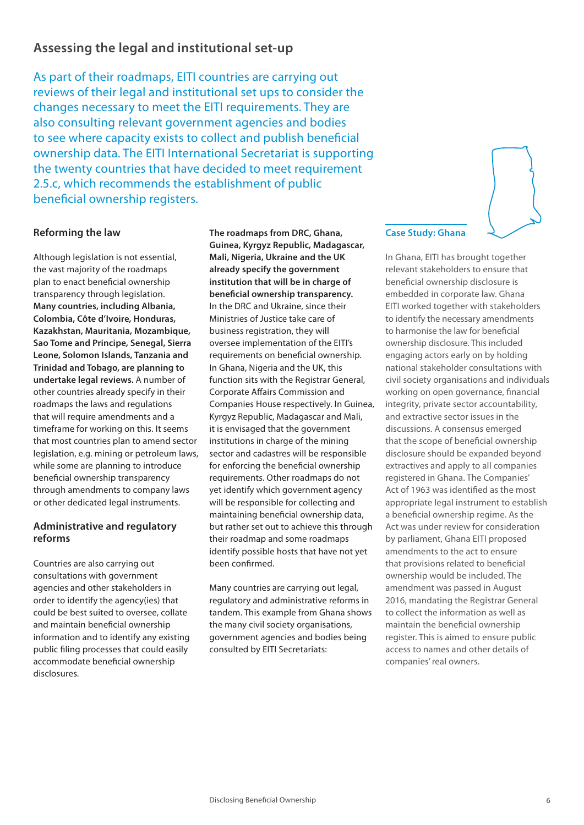# **Assessing the legal and institutional set-up**

As part of their roadmaps, EITI countries are carrying out reviews of their legal and institutional set ups to consider the changes necessary to meet the EITI requirements. They are also consulting relevant government agencies and bodies to see where capacity exists to collect and publish beneficial ownership data. The EITI International Secretariat is supporting the twenty countries that have decided to meet requirement 2.5.c, which recommends the establishment of public beneficial ownership registers.

#### **Reforming the law**

Although legislation is not essential, the vast majority of the roadmaps plan to enact beneficial ownership transparency through legislation. **Many countries, including Albania, Colombia, Côte d'Ivoire, Honduras, Kazakhstan, Mauritania, Mozambique, Sao Tome and Principe, Senegal, Sierra Leone, Solomon Islands, Tanzania and Trinidad and Tobago, are planning to undertake legal reviews.** A number of other countries already specify in their roadmaps the laws and regulations that will require amendments and a timeframe for working on this. It seems that most countries plan to amend sector legislation, e.g. mining or petroleum laws, while some are planning to introduce beneficial ownership transparency through amendments to company laws or other dedicated legal instruments.

#### **Administrative and regulatory reforms**

Countries are also carrying out consultations with government agencies and other stakeholders in order to identify the agency(ies) that could be best suited to oversee, collate and maintain beneficial ownership information and to identify any existing public filing processes that could easily accommodate beneficial ownership disclosures.

**The roadmaps from DRC, Ghana, Guinea, Kyrgyz Republic, Madagascar, Mali, Nigeria, Ukraine and the UK already specify the government institution that will be in charge of beneficial ownership transparency.** In the DRC and Ukraine, since their Ministries of Justice take care of business registration, they will oversee implementation of the EITI's requirements on beneficial ownership. In Ghana, Nigeria and the UK, this function sits with the Registrar General, Corporate Affairs Commission and Companies House respectively. In Guinea, Kyrgyz Republic, Madagascar and Mali, it is envisaged that the government institutions in charge of the mining sector and cadastres will be responsible for enforcing the beneficial ownership requirements. Other roadmaps do not yet identify which government agency will be responsible for collecting and maintaining beneficial ownership data, but rather set out to achieve this through their roadmap and some roadmaps identify possible hosts that have not yet been confirmed.

Many countries are carrying out legal, regulatory and administrative reforms in tandem. This example from Ghana shows the many civil society organisations, government agencies and bodies being consulted by EITI Secretariats:

#### **Case Study: Ghana**

In Ghana, EITI has brought together relevant stakeholders to ensure that beneficial ownership disclosure is embedded in corporate law. Ghana EITI worked together with stakeholders to identify the necessary amendments to harmonise the law for beneficial ownership disclosure. This included engaging actors early on by holding national stakeholder consultations with civil society organisations and individuals working on open governance, financial integrity, private sector accountability, and extractive sector issues in the discussions. A consensus emerged that the scope of beneficial ownership disclosure should be expanded beyond extractives and apply to all companies registered in Ghana. The Companies' Act of 1963 was identified as the most appropriate legal instrument to establish a beneficial ownership regime. As the Act was under review for consideration by parliament, Ghana EITI proposed amendments to the act to ensure that provisions related to beneficial ownership would be included. The amendment was passed in August 2016, mandating the Registrar General to collect the information as well as maintain the beneficial ownership register. This is aimed to ensure public access to names and other details of companies' real owners.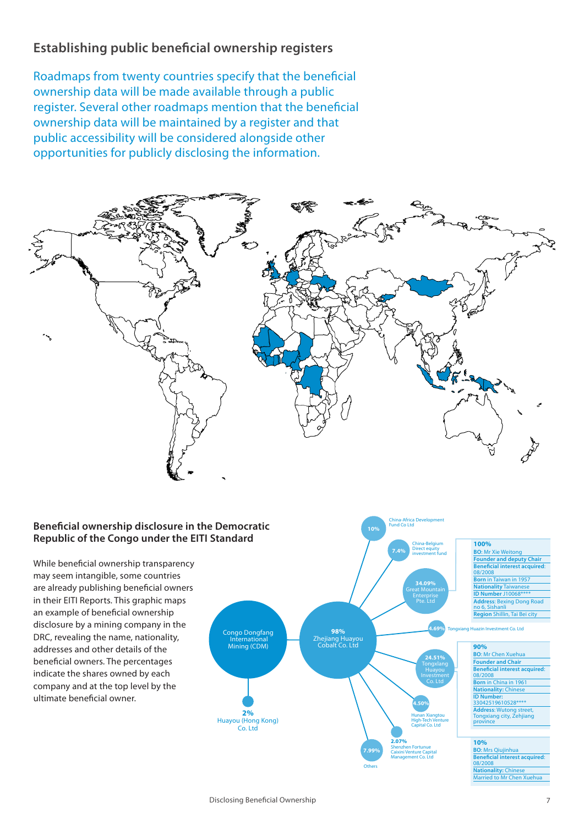# **Establishing public beneficial ownership registers**

Roadmaps from twenty countries specify that the beneficial ownership data will be made available through a public register. Several other roadmaps mention that the beneficial ownership data will be maintained by a register and that public accessibility will be considered alongside other opportunities for publicly disclosing the information.



### **Beneficial ownership disclosure in the Democratic Republic of the Congo under the EITI Standard**

While beneficial ownership transparency may seem intangible, some countries are already publishing beneficial owners in their EITI Reports. This graphic maps an example of beneficial ownership disclosure by a mining company in the DRC, revealing the name, nationality, addresses and other details of the beneficial owners. The percentages indicate the shares owned by each company and at the top level by the ultimate beneficial owner.



**10%** 

China-Africa Development Fund Co Ltd

arried to Mr Chen Xu